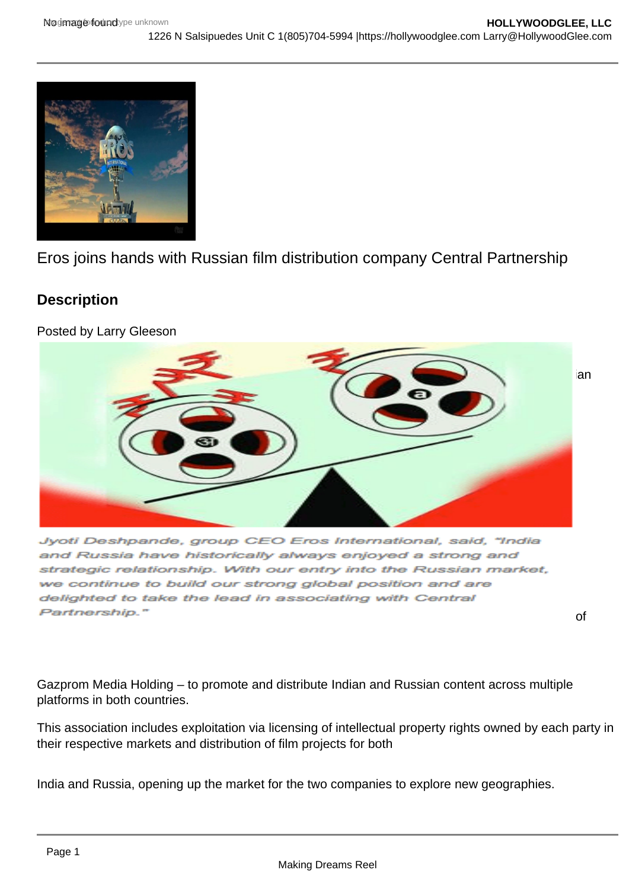

Eros joins hands with Russian film distribution company Central Partnership

## **Description**

Posted by Larry Gleeson



Jyoti Deshpande, group CEO Eros International, said, "India and Russia have historically always enjoyed a strong and strategic relationship. With our entry into the Russian market, we continue to build our strong global position and are delighted to take the lead in associating with Central Partnership."

of

Gazprom Media Holding – to promote and distribute Indian and Russian content across multiple platforms in both countries.

This association includes exploitation via licensing of intellectual property rights owned by each party in their respective markets and distribution of film projects for both

India and Russia, opening up the market for the two companies to explore new geographies.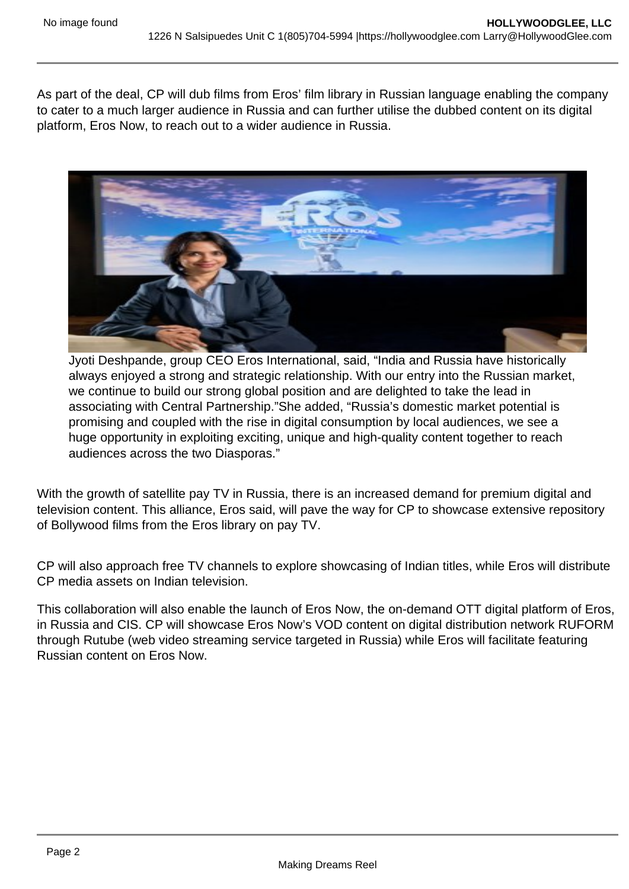As part of the deal, CP will dub films from Eros' film library in Russian language enabling the company to cater to a much larger audience in Russia and can further utilise the dubbed content on its digital platform, Eros Now, to reach out to a wider audience in Russia.



Jyoti Deshpande, group CEO Eros International, said, "India and Russia have historically always enjoyed a strong and strategic relationship. With our entry into the Russian market, we continue to build our strong global position and are delighted to take the lead in associating with Central Partnership."She added, "Russia's domestic market potential is promising and coupled with the rise in digital consumption by local audiences, we see a huge opportunity in exploiting exciting, unique and high-quality content together to reach audiences across the two Diasporas."

With the growth of satellite pay TV in Russia, there is an increased demand for premium digital and television content. This alliance, Eros said, will pave the way for CP to showcase extensive repository of Bollywood films from the Eros library on pay TV.

CP will also approach free TV channels to explore showcasing of Indian titles, while Eros will distribute CP media assets on Indian television.

This collaboration will also enable the launch of Eros Now, the on-demand OTT digital platform of Eros, in Russia and CIS. CP will showcase Eros Now's VOD content on digital distribution network RUFORM through Rutube (web video streaming service targeted in Russia) while Eros will facilitate featuring Russian content on Eros Now.